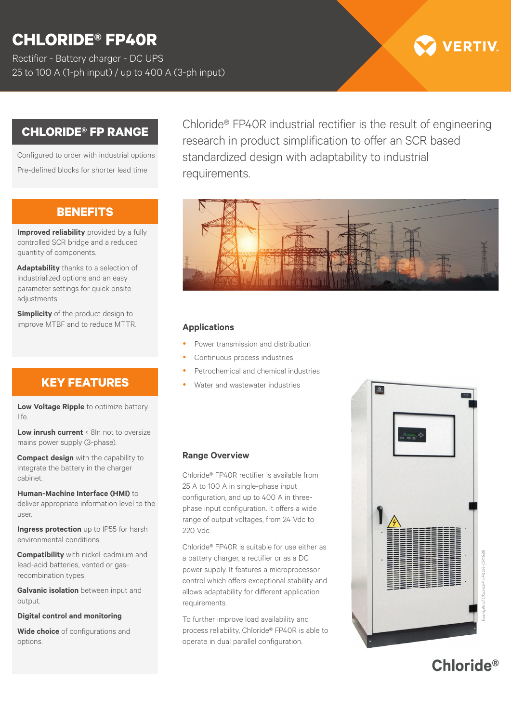# **CHLORIDE® FP40R**

Rectifier - Battery charger - DC UPS 25 to 100 A (1-ph input) / up to 400 A (3-ph input)

## **CHLORIDE® FP RANGE**

Configured to order with industrial options Pre-defined blocks for shorter lead time

## **BENEFITS**

**Improved reliability** provided by a fully controlled SCR bridge and a reduced quantity of components.

**Adaptability** thanks to a selection of industrialized options and an easy parameter settings for quick onsite adjustments.

**Simplicity** of the product design to improve MTBF and to reduce MTTR. **Applications**

## **KEY FEATURES**

**Low Voltage Ripple** to optimize battery life.

**Low inrush current** < 8In not to oversize mains power supply (3-phase).

**Compact design** with the capability to integrate the battery in the charger cabinet.

**Human-Machine Interface (HMI)** to deliver appropriate information level to the user.

**Ingress protection** up to IP55 for harsh environmental conditions.

**Compatibility** with nickel-cadmium and lead-acid batteries, vented or gasrecombination types.

**Galvanic isolation** between input and output

**Digital control and monitoring**

**Wide choice** of configurations and options.

Chloride® FP40R industrial rectifier is the result of engineering research in product simplification to offer an SCR based standardized design with adaptability to industrial requirements.



- Power transmission and distribution
- Continuous process industries
- Petrochemical and chemical industries
- Water and wastewater industries

#### **Range Overview**

Chloride® FP40R rectifier is available from 25 A to 100 A in single-phase input configuration, and up to 400 A in threephase input configuration. It offers a wide range of output voltages, from 24 Vdc to 220 Vdc.

Chloride® FP40R is suitable for use either as a battery charger, a rectifier or as a DC power supply. It features a microprocessor control which offers exceptional stability and allows adaptability for different application requirements.

To further improve load availability and process reliability, Chloride® FP40R is able to operate in dual parallel configuration.





**VERTIV**